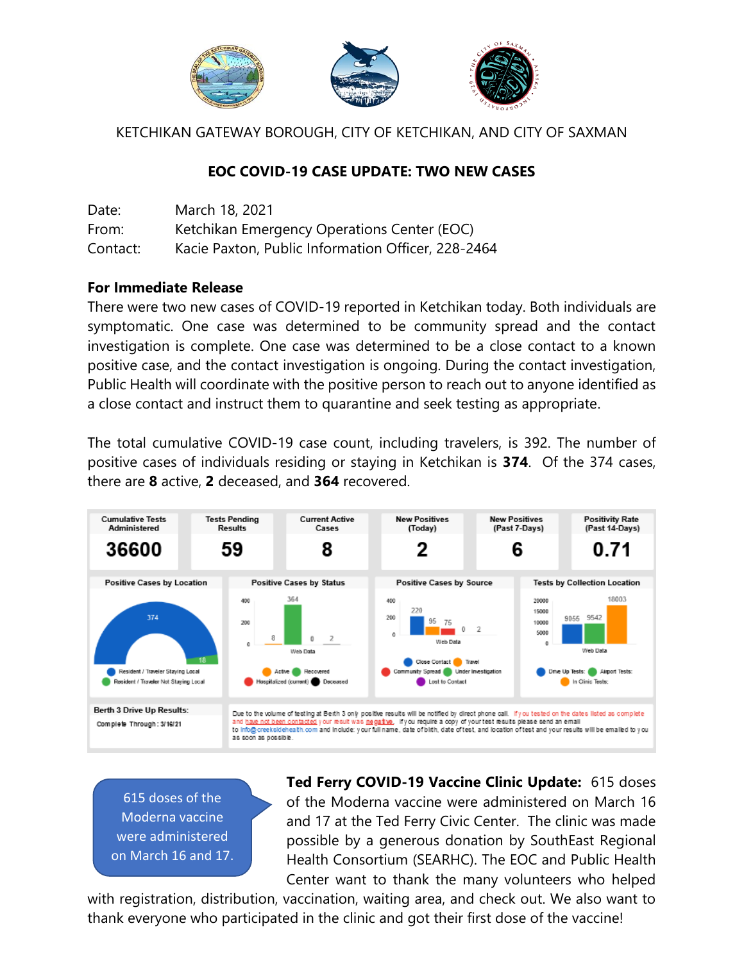

KETCHIKAN GATEWAY BOROUGH, CITY OF KETCHIKAN, AND CITY OF SAXMAN

## **EOC COVID-19 CASE UPDATE: TWO NEW CASES**

| Date:    | March 18, 2021                                     |
|----------|----------------------------------------------------|
| From:    | Ketchikan Emergency Operations Center (EOC)        |
| Contact: | Kacie Paxton, Public Information Officer, 228-2464 |

## **For Immediate Release**

There were two new cases of COVID-19 reported in Ketchikan today. Both individuals are symptomatic. One case was determined to be community spread and the contact investigation is complete. One case was determined to be a close contact to a known positive case, and the contact investigation is ongoing. During the contact investigation, Public Health will coordinate with the positive person to reach out to anyone identified as a close contact and instruct them to quarantine and seek testing as appropriate.

The total cumulative COVID-19 case count, including travelers, is 392. The number of positive cases of individuals residing or staying in Ketchikan is **374**. Of the 374 cases, there are **8** active, **2** deceased, and **364** recovered.



615 doses of the Moderna vaccine were administered on March 16 and 17. **Ted Ferry COVID-19 Vaccine Clinic Update:** 615 doses of the Moderna vaccine were administered on March 16 and 17 at the Ted Ferry Civic Center. The clinic was made possible by a generous donation by SouthEast Regional Health Consortium (SEARHC). The EOC and Public Health Center want to thank the many volunteers who helped

with registration, distribution, vaccination, waiting area, and check out. We also want to thank everyone who participated in the clinic and got their first dose of the vaccine!